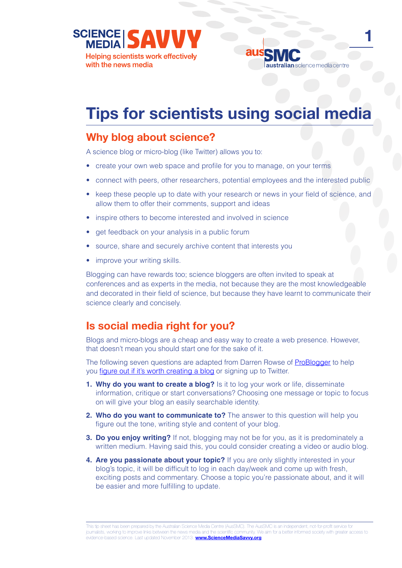**SCIENCE Helping scientists work effectively** with the news media



**1**

# **Tips for scientists using social media**

#### **Why blog about science?**

A science blog or micro-blog (like Twitter) allows you to:

- create your own web space and profile for you to manage, on your terms
- connect with peers, other researchers, potential employees and the interested public
- keep these people up to date with your research or news in your field of science, and allow them to offer their comments, support and ideas
- inspire others to become interested and involved in science
- get feedback on your analysis in a public forum
- source, share and securely archive content that interests you
- improve your writing skills.

Blogging can have rewards too; science bloggers are often invited to speak at conferences and as experts in the media, not because they are the most knowledgeable and decorated in their field of science, but because they have learnt to communicate their science clearly and concisely.

## **Is social media right for you?**

Blogs and micro-blogs are a cheap and easy way to create a web presence. However, that doesn't mean you should start one for the sake of it.

The following seven questions are adapted from Darren Rowse of **[ProBlogger](http://www.problogger.net/)** to help you [figure out if it's worth creating a blog](http://www.problogger.net/archives/2006/02/14/is-a-blog-right-for-you/) or signing up to Twitter.

- **1. Why do you want to create a blog?** Is it to log your work or life, disseminate information, critique or start conversations? Choosing one message or topic to focus on will give your blog an easily searchable identity.
- **2. Who do you want to communicate to?** The answer to this question will help you figure out the tone, writing style and content of your blog.
- **3. Do you enjoy writing?** If not, blogging may not be for you, as it is predominately a written medium. Having said this, you could consider creating a video or audio blog.
- **4. Are you passionate about your topic?** If you are only slightly interested in your blog's topic, it will be difficult to log in each day/week and come up with fresh, exciting posts and commentary. Choose a topic you're passionate about, and it will be easier and more fulfilling to update.

This tip sheet has been prepared by the Australian Science Media Centre (AusSMC). The AusSMC is an independent, not-for-profit service for journalists, working to improve links between the news media and the scientific community. We aim for a better informed society with greater access to evidence-based science. Last updated November 2013. **[www.ScienceMediaSavvy.org](http://www.sciencemediasavvy.org)**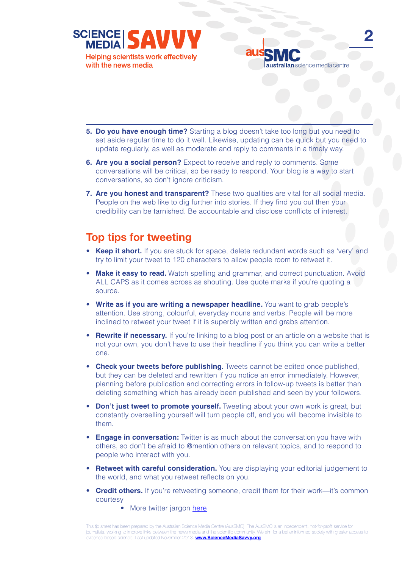



**2**

- **5.** Do you have enough time? Starting a blog doesn't take too long but you need to set aside regular time to do it well. Likewise, updating can be quick but you need to update regularly, as well as moderate and reply to comments in a timely way.
- **6. Are you a social person?** Expect to receive and reply to comments. Some conversations will be critical, so be ready to respond. Your blog is a way to start conversations, so don't ignore criticism.
- **7. Are you honest and transparent?** These two qualities are vital for all social media. People on the web like to dig further into stories. If they find you out then your credibility can be tarnished. Be accountable and disclose conflicts of interest.

## **Top tips for tweeting**

- **Keep it short.** If you are stuck for space, delete redundant words such as 'very' and try to limit your tweet to 120 characters to allow people room to retweet it.
- **Make it easy to read.** Watch spelling and grammar, and correct punctuation. Avoid ALL CAPS as it comes across as shouting. Use quote marks if you're quoting a source.
- **Write as if you are writing a newspaper headline.** You want to grab people's attention. Use strong, colourful, everyday nouns and verbs. People will be more inclined to retweet your tweet if it is superbly written and grabs attention.
- **Rewrite if necessary.** If you're linking to a blog post or an article on a website that is not your own, you don't have to use their headline if you think you can write a better one.
- **Check your tweets before publishing.** Tweets cannot be edited once published, but they can be deleted and rewritten if you notice an error immediately. However, planning before publication and correcting errors in follow-up tweets is better than deleting something which has already been published and seen by your followers.
- **Don't just tweet to promote yourself.** Tweeting about your own work is great, but constantly overselling yourself will turn people off, and you will become invisible to them.
- **Engage in conversation:** Twitter is as much about the conversation you have with others, so don't be afraid to @mention others on relevant topics, and to respond to people who interact with you.
- **Retweet with careful consideration.** You are displaying your editorial judgement to the world, and what you retweet reflects on you.
- Credit others. If you're retweeting someone, credit them for their work—it's common courtesy
	- More twitter jargon [here](http://www.businessinsider.com.au/a-guide-to-twitter-slang-lingo-abbreviations-and-acronyms-2013-9)

This tip sheet has been prepared by the Australian Science Media Centre (AusSMC). The AusSMC is an independent, not-for-profit service for journalists, working to improve links between the news media and the scientific community. We aim for a better informed society with greater access to evidence-based science. Last updated November 2013. **[www.ScienceMediaSavvy.org](http://www.sciencemediasavvy.org)**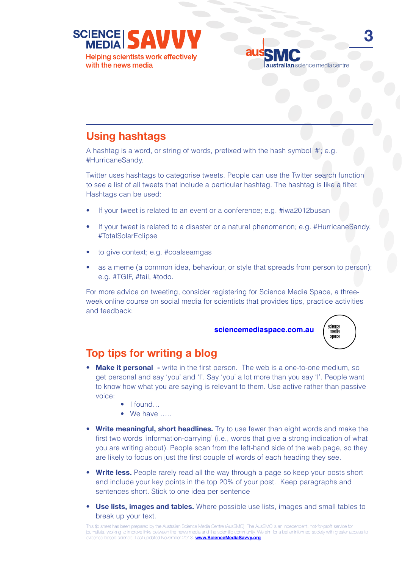

# **Using hashtags**

A hashtag is a word, or string of words, prefixed with the hash symbol '#'; e.g. #HurricaneSandy.

Twitter uses hashtags to categorise tweets. People can use the Twitter search function to see a list of all tweets that include a particular hashtag. The hashtag is like a filter. Hashtags can be used:

- If your tweet is related to an event or a conference; e.g. #iwa2012busan
- If your tweet is related to a disaster or a natural phenomenon; e.g. #HurricaneSandy, #TotalSolarEclipse
- to give context; e.g. #coalseamgas
- as a meme (a common idea, behaviour, or style that spreads from person to person); e.g. #TGIF, #fail, #todo.

For more advice on tweeting, consider registering for Science Media Space, a threeweek online course on social media for scientists that provides tips, practice activities and feedback:

**[sciencemediaspace.com.au](http://www.sciencemediaspace.com.au)**



### **Top tips for writing a blog**

- **Make it personal** write in the first person. The web is a one-to-one medium, so get personal and say 'you' and 'I'. Say 'you' a lot more than you say 'I'. People want to know how what you are saying is relevant to them. Use active rather than passive voice:
	- I found…
	- We have …..
- **Write meaningful, short headlines.** Try to use fewer than eight words and make the first two words 'information-carrying' (i.e., words that give a strong indication of what you are writing about). People scan from the left-hand side of the web page, so they are likely to focus on just the first couple of words of each heading they see.
- **Write less.** People rarely read all the way through a page so keep your posts short and include your key points in the top 20% of your post. Keep paragraphs and sentences short. Stick to one idea per sentence
- **Use lists, images and tables.** Where possible use lists, images and small tables to break up your text.

This tip sheet has been prepared by the Australian Science Media Centre (AusSMC). The AusSMC is an independent, not-for-profit service for journalists, working to improve links between the news media and the scientific community. We aim for a better informed society with greater access to evidence-based science. Last updated November 2013. **[www.ScienceMediaSavvy.org](http://www.sciencemediasavvy.org)**

australian science media centre